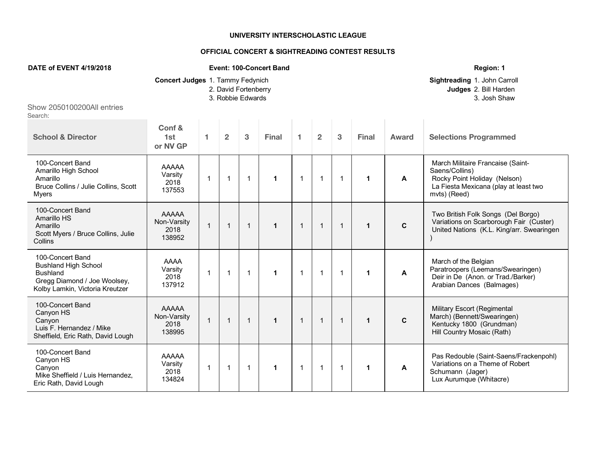## **UNIVERSITY INTERSCHOLASTIC LEAGUE**

## **OFFICIAL CONCERT & SIGHTREADING CONTEST RESULTS**

## **DATE of EVENT 4/19/2018 Event: 100-Concert Band Region: 1 Concert Judges** 1. Tammy Fedynich **Sightreading** 1. John Carroll 2. David Fortenberry **Judges** 2. Bill Harden 3. Robbie Edwards 3. Josh Shaw Show 2050100200All entries Search: **School & Director Conf & 1st or NV GP 1 2 3 Final 1 2 3 Final Award Selections Programmed** 100-Concert Band Amarillo High School Amarillo Bruce Collins / Julie Collins, Scott Myers AAAAA Varsity 2018 137553 1 1 1 **1** 1 1 1 **1 A** March Militaire Francaise (Saint-Saens/Collins) Rocky Point Holiday (Nelson) La Fiesta Mexicana (play at least two mvts) (Reed) 100-Concert Band Amarillo HS **Amarillo** Scott Myers / Bruce Collins, Julie **Collins** AAAAA Non-Varsity 2018 138952 1 1 1 **1** 1 1 1 **1 C** Two British Folk Songs (Del Borgo) Variations on Scarborough Fair (Custer) United Nations (K.L. King/arr. Swearingen ) 100-Concert Band Bushland High School Bushland Gregg Diamond / Joe Woolsey, Kolby Lamkin, Victoria Kreutzer AAAA Varsity 2018 137912 1 1 1 **1** 1 1 1 **1 A** March of the Belgian Paratroopers (Leemans/Swearingen) Deir in De (Anon. or Trad./Barker) Arabian Dances (Balmages) 100-Concert Band Canyon HS Canyon Luis F. Hernandez / Mike Sheffield, Eric Rath, David Lough AAAAA Non-Varsity 2018 138995 1 1 1 **1** 1 1 1 **1 C** Military Escort (Regimental March) (Bennett/Swearingen) Kentucky 1800 (Grundman) Hill Country Mosaic (Rath) 100-Concert Band Canyon HS Canyon Mike Sheffield / Luis Hernandez, Eric Rath, David Lough AAAAA Varsity 2018 134824 1 1 1 **1** 1 1 1 **1 A** Pas Redouble (Saint-Saens/Frackenpohl) Variations on a Theme of Robert Schumann (Jager) Lux Aurumque (Whitacre)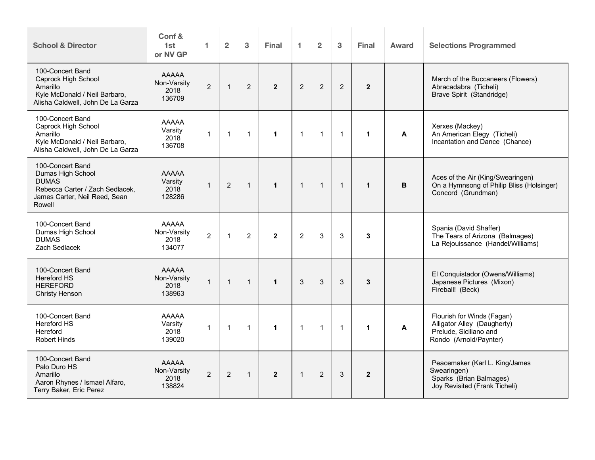| <b>School &amp; Director</b>                                                                                                        | Conf &<br>1st<br>or NV GP                     | 1.             | $\overline{2}$ | 3              | <b>Final</b>   | $\mathbf{1}$   | $\overline{2}$ | 3            | <b>Final</b>   | Award | <b>Selections Programmed</b>                                                                                  |
|-------------------------------------------------------------------------------------------------------------------------------------|-----------------------------------------------|----------------|----------------|----------------|----------------|----------------|----------------|--------------|----------------|-------|---------------------------------------------------------------------------------------------------------------|
| 100-Concert Band<br>Caprock High School<br>Amarillo<br>Kyle McDonald / Neil Barbaro,<br>Alisha Caldwell, John De La Garza           | <b>AAAAA</b><br>Non-Varsity<br>2018<br>136709 | $\overline{2}$ | $\mathbf{1}$   | 2              | $\overline{2}$ | 2              | $\overline{2}$ | 2            | $\overline{2}$ |       | March of the Buccaneers (Flowers)<br>Abracadabra (Ticheli)<br>Brave Spirit (Standridge)                       |
| 100-Concert Band<br>Caprock High School<br>Amarillo<br>Kyle McDonald / Neil Barbaro,<br>Alisha Caldwell, John De La Garza           | <b>AAAAA</b><br>Varsity<br>2018<br>136708     | $\mathbf{1}$   | $\mathbf{1}$   | $\mathbf{1}$   | $\mathbf{1}$   | $\overline{1}$ | $\overline{1}$ | $\mathbf{1}$ | $\mathbf{1}$   | A     | Xerxes (Mackey)<br>An American Elegy (Ticheli)<br>Incantation and Dance (Chance)                              |
| 100-Concert Band<br>Dumas High School<br><b>DUMAS</b><br>Rebecca Carter / Zach Sedlacek,<br>James Carter, Neil Reed, Sean<br>Rowell | <b>AAAAA</b><br>Varsity<br>2018<br>128286     | $\mathbf{1}$   | $\overline{2}$ | $\mathbf{1}$   | $\mathbf{1}$   | $\overline{1}$ | $\overline{1}$ | $\mathbf{1}$ | $\mathbf{1}$   | В     | Aces of the Air (King/Swearingen)<br>On a Hymnsong of Philip Bliss (Holsinger)<br>Concord (Grundman)          |
| 100-Concert Band<br>Dumas High School<br><b>DUMAS</b><br>Zach Sedlacek                                                              | <b>AAAAA</b><br>Non-Varsity<br>2018<br>134077 | $\overline{2}$ | $\mathbf{1}$   | $\overline{2}$ | $\overline{2}$ | $\overline{2}$ | $\mathfrak{S}$ | 3            | 3              |       | Spania (David Shaffer)<br>The Tears of Arizona (Balmages)<br>La Rejouissance (Handel/Williams)                |
| 100-Concert Band<br><b>Hereford HS</b><br><b>HEREFORD</b><br>Christy Henson                                                         | <b>AAAAA</b><br>Non-Varsity<br>2018<br>138963 | $\mathbf{1}$   | $\mathbf{1}$   | $\mathbf{1}$   | $\mathbf{1}$   | 3              | 3              | 3            | 3              |       | El Conquistador (Owens/Williams)<br>Japanese Pictures (Mixon)<br>Fireball! (Beck)                             |
| 100-Concert Band<br>Hereford HS<br>Hereford<br><b>Robert Hinds</b>                                                                  | <b>AAAAA</b><br>Varsity<br>2018<br>139020     | $\mathbf{1}$   | $\mathbf 1$    | $\mathbf{1}$   | $\mathbf{1}$   | $\overline{1}$ | $\overline{1}$ | $\mathbf{1}$ | 1              | A     | Flourish for Winds (Fagan)<br>Alligator Alley (Daugherty)<br>Prelude, Siciliano and<br>Rondo (Arnold/Paynter) |
| 100-Concert Band<br>Palo Duro HS<br>Amarillo<br>Aaron Rhynes / Ismael Alfaro,<br>Terry Baker, Eric Perez                            | AAAAA<br>Non-Varsity<br>2018<br>138824        | $\overline{2}$ | 2              | $\mathbf{1}$   | $\overline{2}$ | $\overline{1}$ | 2              | 3            | $\mathbf{2}$   |       | Peacemaker (Karl L. King/James<br>Swearingen)<br>Sparks (Brian Balmages)<br>Joy Revisited (Frank Ticheli)     |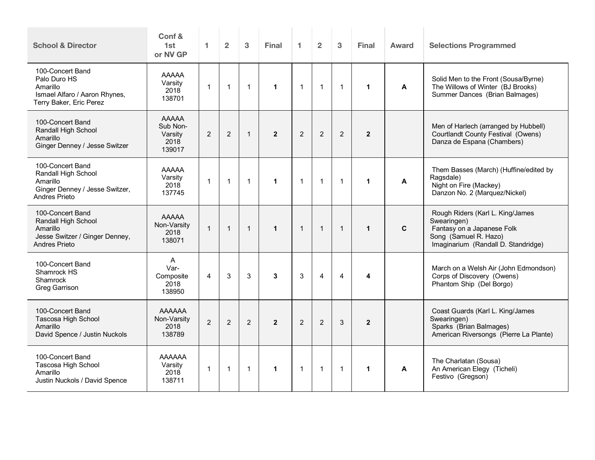| <b>School &amp; Director</b>                                                                                  | Conf &<br>1st<br>or NV GP                             | 1.             | $\overline{2}$ | 3              | <b>Final</b>         | 1              | $\overline{2}$ | 3              | <b>Final</b>   | Award | <b>Selections Programmed</b>                                                                                                                  |
|---------------------------------------------------------------------------------------------------------------|-------------------------------------------------------|----------------|----------------|----------------|----------------------|----------------|----------------|----------------|----------------|-------|-----------------------------------------------------------------------------------------------------------------------------------------------|
| 100-Concert Band<br>Palo Duro HS<br>Amarillo<br>Ismael Alfaro / Aaron Rhynes,<br>Terry Baker, Eric Perez      | <b>AAAAA</b><br>Varsity<br>2018<br>138701             | $\mathbf{1}$   | $\mathbf{1}$   | $\overline{1}$ | $\mathbf{1}$         | $\mathbf{1}$   | $\mathbf{1}$   | $\mathbf{1}$   | $\mathbf{1}$   | A     | Solid Men to the Front (Sousa/Byrne)<br>The Willows of Winter (BJ Brooks)<br>Summer Dances (Brian Balmages)                                   |
| 100-Concert Band<br>Randall High School<br>Amarillo<br>Ginger Denney / Jesse Switzer                          | <b>AAAAA</b><br>Sub Non-<br>Varsity<br>2018<br>139017 | 2              | 2              | $\overline{1}$ | $\overline{2}$       | 2              | $\overline{2}$ | $\overline{2}$ | $\overline{2}$ |       | Men of Harlech (arranged by Hubbell)<br>Courtlandt County Festival (Owens)<br>Danza de Espana (Chambers)                                      |
| 100-Concert Band<br>Randall High School<br>Amarillo<br>Ginger Denney / Jesse Switzer,<br><b>Andres Prieto</b> | <b>AAAAA</b><br>Varsity<br>2018<br>137745             | $\mathbf{1}$   | $\mathbf{1}$   | $\overline{1}$ | $\blacktriangleleft$ | $\mathbf{1}$   | $\mathbf{1}$   | $\mathbf{1}$   | $\mathbf{1}$   | A     | Them Basses (March) (Huffine/edited by<br>Ragsdale)<br>Night on Fire (Mackey)<br>Danzon No. 2 (Marquez/Nickel)                                |
| 100-Concert Band<br>Randall High School<br>Amarillo<br>Jesse Switzer / Ginger Denney,<br>Andres Prieto        | <b>AAAAA</b><br>Non-Varsity<br>2018<br>138071         | $\mathbf{1}$   | $\overline{1}$ | $\overline{1}$ | $\mathbf{1}$         | $\mathbf{1}$   | $\overline{1}$ | $\overline{1}$ | $\mathbf{1}$   | C     | Rough Riders (Karl L. King/James<br>Swearingen)<br>Fantasy on a Japanese Folk<br>Song (Samuel R. Hazo)<br>Imaginarium (Randall D. Standridge) |
| 100-Concert Band<br>Shamrock HS<br>Shamrock<br>Greg Garrison                                                  | A<br>Var-<br>Composite<br>2018<br>138950              | $\overline{4}$ | 3              | 3              | 3                    | 3              | 4              | $\overline{4}$ | 4              |       | March on a Welsh Air (John Edmondson)<br>Corps of Discovery (Owens)<br>Phantom Ship (Del Borgo)                                               |
| 100-Concert Band<br>Tascosa High School<br>Amarillo<br>David Spence / Justin Nuckols                          | AAAAAA<br>Non-Varsity<br>2018<br>138789               | 2              | $\overline{2}$ | $\overline{2}$ | $\overline{2}$       | $\overline{2}$ | $\overline{2}$ | 3              | $\overline{2}$ |       | Coast Guards (Karl L. King/James<br>Swearingen)<br>Sparks (Brian Balmages)<br>American Riversongs (Pierre La Plante)                          |
| 100-Concert Band<br>Tascosa High School<br>Amarillo<br>Justin Nuckols / David Spence                          | AAAAAA<br>Varsity<br>2018<br>138711                   | $\mathbf{1}$   | $\overline{1}$ | $\overline{1}$ | $\mathbf{1}$         | $\mathbf{1}$   | $\mathbf{1}$   | $\mathbf{1}$   | $\mathbf{1}$   | A     | The Charlatan (Sousa)<br>An American Elegy (Ticheli)<br>Festivo (Gregson)                                                                     |